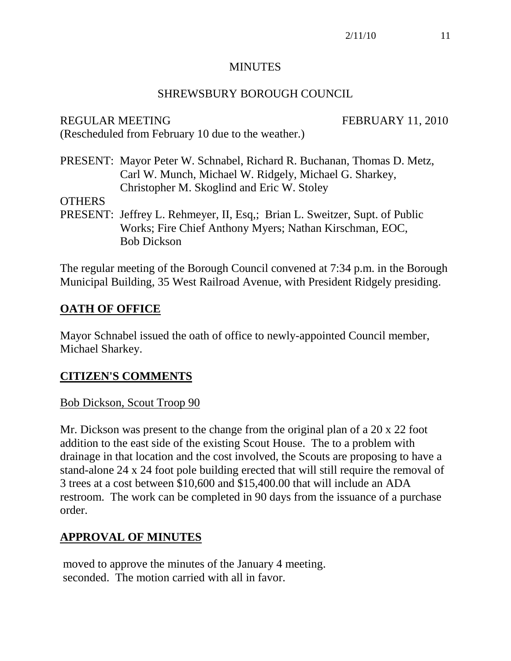#### **MINUTES**

#### SHREWSBURY BOROUGH COUNCIL

REGULAR MEETING FEBRUARY 11, 2010 (Rescheduled from February 10 due to the weather.)

PRESENT: Mayor Peter W. Schnabel, Richard R. Buchanan, Thomas D. Metz, Carl W. Munch, Michael W. Ridgely, Michael G. Sharkey, Christopher M. Skoglind and Eric W. Stoley

**OTHERS** 

PRESENT: Jeffrey L. Rehmeyer, II, Esq,; Brian L. Sweitzer, Supt. of Public Works; Fire Chief Anthony Myers; Nathan Kirschman, EOC, Bob Dickson

The regular meeting of the Borough Council convened at 7:34 p.m. in the Borough Municipal Building, 35 West Railroad Avenue, with President Ridgely presiding.

### **OATH OF OFFICE**

Mayor Schnabel issued the oath of office to newly-appointed Council member, Michael Sharkey.

#### **CITIZEN'S COMMENTS**

#### Bob Dickson, Scout Troop 90

Mr. Dickson was present to the change from the original plan of a 20 x 22 foot addition to the east side of the existing Scout House. The to a problem with drainage in that location and the cost involved, the Scouts are proposing to have a stand-alone 24 x 24 foot pole building erected that will still require the removal of 3 trees at a cost between \$10,600 and \$15,400.00 that will include an ADA restroom. The work can be completed in 90 days from the issuance of a purchase order.

### **APPROVAL OF MINUTES**

moved to approve the minutes of the January 4 meeting. seconded. The motion carried with all in favor.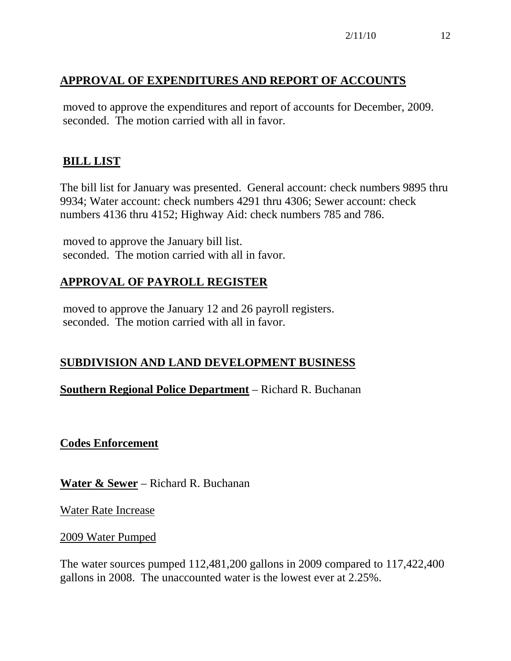# **APPROVAL OF EXPENDITURES AND REPORT OF ACCOUNTS**

moved to approve the expenditures and report of accounts for December, 2009. seconded. The motion carried with all in favor.

# **BILL LIST**

The bill list for January was presented. General account: check numbers 9895 thru 9934; Water account: check numbers 4291 thru 4306; Sewer account: check numbers 4136 thru 4152; Highway Aid: check numbers 785 and 786.

moved to approve the January bill list. seconded. The motion carried with all in favor.

# **APPROVAL OF PAYROLL REGISTER**

moved to approve the January 12 and 26 payroll registers. seconded. The motion carried with all in favor.

# **SUBDIVISION AND LAND DEVELOPMENT BUSINESS**

### **Southern Regional Police Department** – Richard R. Buchanan

**Codes Enforcement**

**Water & Sewer** – Richard R. Buchanan

Water Rate Increase

2009 Water Pumped

The water sources pumped 112,481,200 gallons in 2009 compared to 117,422,400 gallons in 2008. The unaccounted water is the lowest ever at 2.25%.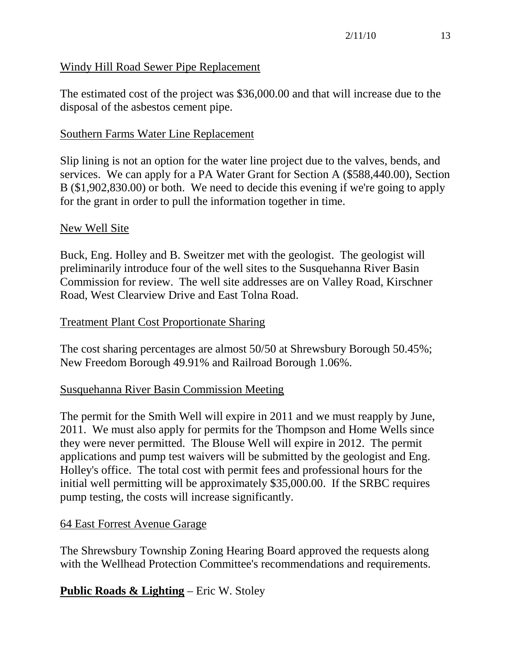#### Windy Hill Road Sewer Pipe Replacement

The estimated cost of the project was \$36,000.00 and that will increase due to the disposal of the asbestos cement pipe.

#### Southern Farms Water Line Replacement

Slip lining is not an option for the water line project due to the valves, bends, and services. We can apply for a PA Water Grant for Section A (\$588,440.00), Section B (\$1,902,830.00) or both. We need to decide this evening if we're going to apply for the grant in order to pull the information together in time.

#### New Well Site

Buck, Eng. Holley and B. Sweitzer met with the geologist. The geologist will preliminarily introduce four of the well sites to the Susquehanna River Basin Commission for review. The well site addresses are on Valley Road, Kirschner Road, West Clearview Drive and East Tolna Road.

#### Treatment Plant Cost Proportionate Sharing

The cost sharing percentages are almost 50/50 at Shrewsbury Borough 50.45%; New Freedom Borough 49.91% and Railroad Borough 1.06%.

#### Susquehanna River Basin Commission Meeting

The permit for the Smith Well will expire in 2011 and we must reapply by June, 2011. We must also apply for permits for the Thompson and Home Wells since they were never permitted. The Blouse Well will expire in 2012. The permit applications and pump test waivers will be submitted by the geologist and Eng. Holley's office. The total cost with permit fees and professional hours for the initial well permitting will be approximately \$35,000.00. If the SRBC requires pump testing, the costs will increase significantly.

#### 64 East Forrest Avenue Garage

The Shrewsbury Township Zoning Hearing Board approved the requests along with the Wellhead Protection Committee's recommendations and requirements.

#### **Public Roads & Lighting** – Eric W. Stoley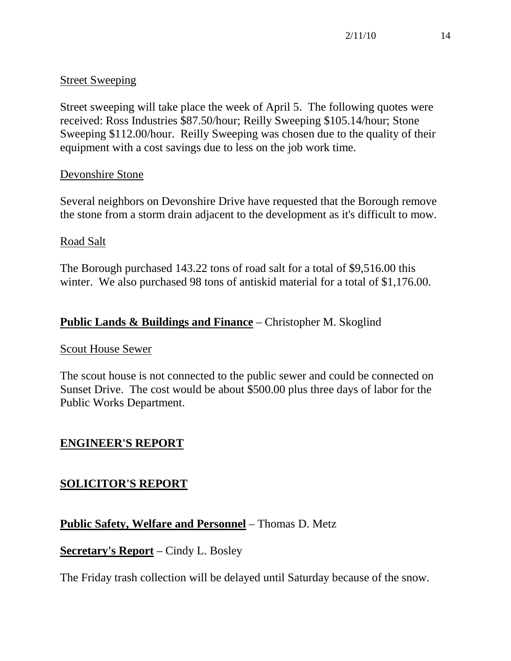### Street Sweeping

Street sweeping will take place the week of April 5. The following quotes were received: Ross Industries \$87.50/hour; Reilly Sweeping \$105.14/hour; Stone Sweeping \$112.00/hour. Reilly Sweeping was chosen due to the quality of their equipment with a cost savings due to less on the job work time.

### Devonshire Stone

Several neighbors on Devonshire Drive have requested that the Borough remove the stone from a storm drain adjacent to the development as it's difficult to mow.

#### Road Salt

The Borough purchased 143.22 tons of road salt for a total of \$9,516.00 this winter. We also purchased 98 tons of antiskid material for a total of \$1,176.00.

# **Public Lands & Buildings and Finance** – Christopher M. Skoglind

#### Scout House Sewer

The scout house is not connected to the public sewer and could be connected on Sunset Drive. The cost would be about \$500.00 plus three days of labor for the Public Works Department.

### **ENGINEER'S REPORT**

### **SOLICITOR'S REPORT**

# **Public Safety, Welfare and Personnel** – Thomas D. Metz

#### **Secretary's Report** – Cindy L. Bosley

The Friday trash collection will be delayed until Saturday because of the snow.